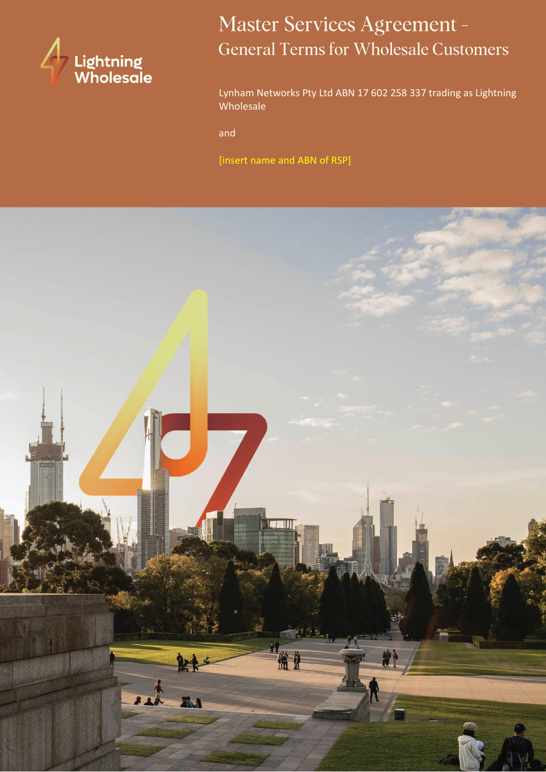

# Master Services Agreement -**General Terms for Wholesale Customers**

Lynham Networks Pty Ltd ABN 17 602 258 337 trading as Lightning Wholesale

and

[insert name and ABN of RSP]

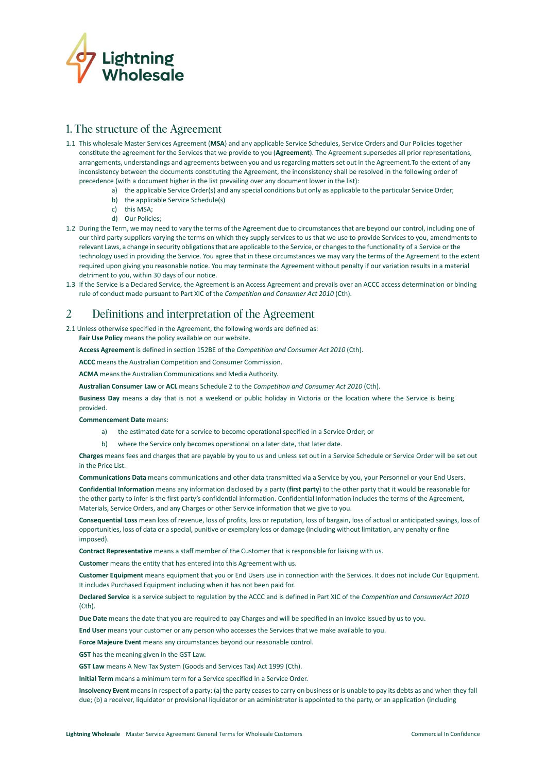

## 1. The structure of the Agreement

- 1.1 This wholesale Master Services Agreement (**MSA**) and any applicable Service Schedules, Service Orders and Our Policies together constitute the agreement for the Services that we provide to you (**Agreement**). The Agreement supersedes all prior representations, arrangements, understandings and agreements between you and us regarding mattersset out in the Agreement.To the extent of any inconsistency between the documents constituting the Agreement, the inconsistency shall be resolved in the following order of precedence (with a document higher in the list prevailing over any document lower in the list):
	- a) the applicable Service Order(s) and any special conditions but only as applicable to the particular Service Order;
	- b) the applicable Service Schedule(s)
	- c) this MSA;
	- d) Our Policies;
- 1.2 During the Term, we may need to vary the terms of the Agreement due to circumstances that are beyond our control, including one of our third party suppliers varying the terms on which they supply services to us that we use to provide Services to you, amendmentsto relevant Laws, a change in security obligations that are applicable to the Service, or changes to the functionality of a Service or the technology used in providing the Service. You agree that in these circumstances we may vary the terms of the Agreement to the extent required upon giving you reasonable notice. You may terminate the Agreement without penalty if our variation results in a material detriment to you, within 30 days of our notice.
- 1.3 If the Service is a Declared Service, the Agreement is an Access Agreement and prevails over an ACCC access determination or binding rule of conduct made pursuant to Part XIC of the *Competition and Consumer Act 2010* (Cth).

#### Definitions and interpretation of the Agreement 2

2.1 Unless otherwise specified in the Agreement, the following words are defined as:

**Fair Use Policy** means the policy available on our website.

**Access Agreement** is defined in section 152BE of the *Competition and Consumer Act 2010* (Cth).

**ACCC** means the Australian Competition and Consumer Commission.

**ACMA** meansthe Australian Communications and Media Authority.

**Australian Consumer Law** or **ACL** means Schedule 2 to the *Competition and Consumer Act 2010* (Cth).

**Business Day** means a day that is not a weekend or public holiday in Victoria or the location where the Service is being provided.

**Commencement Date** means:

- a) the estimated date for a service to become operational specified in a Service Order; or
- b) where the Service only becomes operational on a later date, that later date.

**Charges** means fees and charges that are payable by you to us and unless set out in a Service Schedule or Service Order will be set out in the Price List.

**Communications Data** means communications and other data transmitted via a Service by you, your Personnel or your End Users.

**Confidential Information** means any information disclosed by a party (**first party**) to the other party that it would be reasonable for the other party to infer is the first party's confidential information. Confidential Information includes the terms of the Agreement, Materials, Service Orders, and any Charges or other Service information that we give to you.

**Consequential Loss** mean loss of revenue, loss of profits, loss or reputation, loss of bargain, loss of actual or anticipated savings, loss of opportunities, loss of data or a special, punitive or exemplary loss or damage (including without limitation, any penalty or fine imposed).

**Contract Representative** means a staff member of the Customer that is responsible for liaising with us.

**Customer** means the entity that has entered into this Agreement with us.

**Customer Equipment** means equipment that you or End Users use in connection with the Services. It does not include Our Equipment. It includes Purchased Equipment including when it has not been paid for.

**Declared Service** is a service subject to regulation by the ACCC and is defined in Part XIC of the *Competition and ConsumerAct 2010*  (Cth).

**Due Date** means the date that you are required to pay Charges and will be specified in an invoice issued by us to you.

**End User** means your customer or any person who accesses the Services that we make available to you.

**Force Majeure Event** means any circumstances beyond our reasonable control.

**GST** has the meaning given in the GST Law.

**GST Law** means A New Tax System (Goods and Services Tax) Act 1999 (Cth).

**Initial Term** means a minimum term for a Service specified in a Service Order.

Insolvency Event means in respect of a party: (a) the party ceases to carry on business or is unable to pay its debts as and when they fall due; (b) a receiver, liquidator or provisional liquidator or an administrator is appointed to the party, or an application (including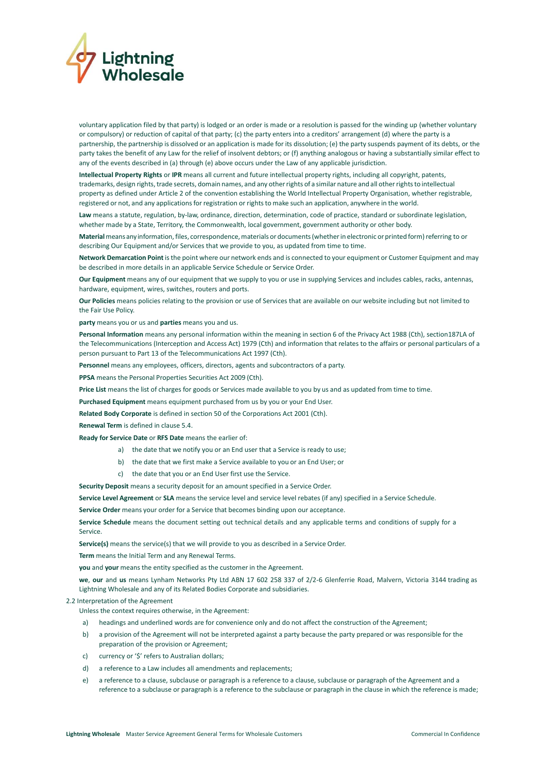

voluntary application filed by that party) is lodged or an order is made or a resolution is passed for the winding up (whether voluntary or compulsory) or reduction of capital of that party; (c) the party enters into a creditors' arrangement (d) where the party is a partnership, the partnership is dissolved or an application is made for its dissolution; (e) the party suspends payment of its debts, or the party takes the benefit of any Law for the relief of insolvent debtors; or (f) anything analogous or having a substantially similar effect to any of the events described in (a) through (e) above occurs under the Law of any applicable jurisdiction.

**Intellectual Property Rights** or **IPR** means all current and future intellectual property rights, including all copyright, patents, trademarks, design rights, trade secrets, domain names, and any other rights of a similar nature and all other rights to intellectual property as defined under Article 2 of the convention establishing the World Intellectual Property Organisation, whether registrable, registered or not, and any applications for registration or rights to make such an application, anywhere in the world.

**Law** means a statute, regulation, by-law, ordinance, direction, determination, code of practice, standard or subordinate legislation, whether made by a State, Territory, the Commonwealth, local government, government authority or other body.

**Material**meansany information, files, correspondence,materials or documents(whetherin electronic orprinted form)referring to or describing Our Equipment and/or Services that we provide to you, as updated from time to time.

**Network Demarcation Point** isthe point where our network ends and is connected to your equipment or Customer Equipment and may be described in more details in an applicable Service Schedule or Service Order.

**Our Equipment** means any of our equipment that we supply to you or use in supplying Services and includes cables, racks, antennas, hardware, equipment, wires, switches, routers and ports.

**Our Policies** means policies relating to the provision or use of Services that are available on our website including but not limited to the Fair Use Policy.

**party** means you or us and **parties** means you and us.

**Personal Information** means any personal information within the meaning in section 6 of the Privacy Act 1988 (Cth), section187LA of the Telecommunications (Interception and Access Act) 1979 (Cth) and information that relates to the affairs or personal particulars of a person pursuant to Part 13 of the Telecommunications Act 1997 (Cth).

**Personnel** means any employees, officers, directors, agents and subcontractors of a party.

**PPSA** means the Personal Properties Securities Act 2009 (Cth).

**Price List** means the list of charges for goods or Services made available to you by us and as updated from time to time.

**Purchased Equipment** means equipment purchased from us by you or your End User.

**Related Body Corporate** is defined in section 50 of the Corporations Act 2001 (Cth).

**Renewal Term** is defined in claus[e 5.4.](#page-3-0)

**Ready for Service Date** or **RFS Date** means the earlier of:

- a) the date that we notify you or an End user that a Service is ready to use;
- b) the date that we first make a Service available to you or an End User; or
- c) the date that you or an End User first use the Service.

Security Deposit means a security deposit for an amount specified in a Service Order.

**Service Level Agreement** or **SLA** means the service level and service level rebates (if any) specified in a Service Schedule.

**Service Order** means your order for a Service that becomes binding upon our acceptance.

**Service Schedule** means the document setting out technical details and any applicable terms and conditions of supply for a Service.

**Service(s)** means the service(s) that we will provide to you as described in a Service Order.

**Term** means the Initial Term and any Renewal Terms.

**you** and **your** means the entity specified as the customer in the Agreement.

**we**, **our** and **us** means Lynham Networks Pty Ltd ABN 17 602 258 337 of 2/2-6 Glenferrie Road, Malvern, Victoria 3144 trading as Lightning Wholesale and any of its Related Bodies Corporate and subsidiaries.

### 2.2 Interpretation of the Agreement

Unless the context requires otherwise, in the Agreement:

- a) headings and underlined words are for convenience only and do not affect the construction of the Agreement;
- b) a provision of the Agreement will not be interpreted against a party because the party prepared or was responsible for the preparation of the provision or Agreement;
- c) currency or '\$' refers to Australian dollars;
- d) a reference to a Law includes all amendments and replacements;
- e) a reference to a clause, subclause or paragraph is a reference to a clause, subclause or paragraph of the Agreement and a reference to a subclause or paragraph is a reference to the subclause or paragraph in the clause in which the reference is made;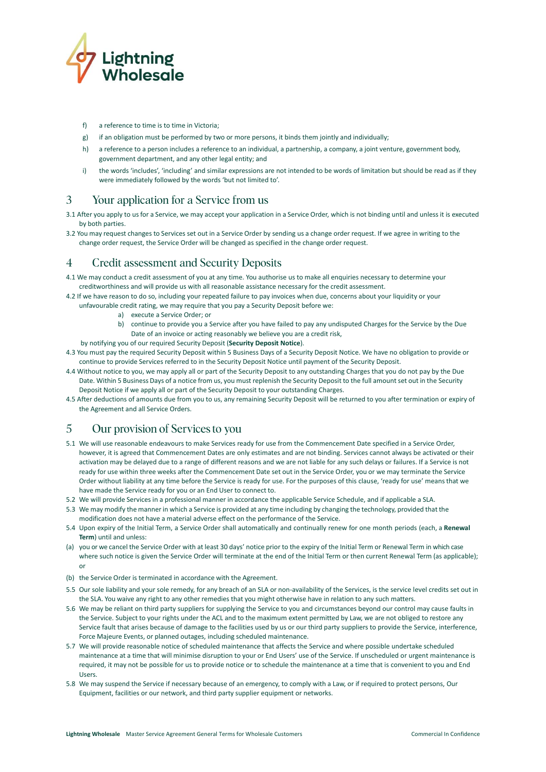

- f) a reference to time is to time in Victoria;
- g) if an obligation must be performed by two or more persons, it binds them jointly and individually;
- h) a reference to a person includes a reference to an individual, a partnership, a company, a joint venture, government body, government department, and any other legal entity; and
- i) the words 'includes', 'including' and similar expressions are not intended to be words of limitation but should be read as if they were immediately followed by the words 'but not limited to'.

#### $\overline{3}$ Your application for a Service from us

- 3.1 After you apply to us for a Service, we may accept your application in a Service Order, which is not binding until and unless it is executed by both parties.
- 3.2 You may request changes to Services set out in a Service Order by sending us a change order request. If we agree in writing to the change order request, the Service Order will be changed as specified in the change order request.

#### **Credit assessment and Security Deposits**  $\overline{4}$

- 4.1 We may conduct a credit assessment of you at any time. You authorise us to make all enquiries necessary to determine your creditworthiness and will provide us with all reasonable assistance necessary for the credit assessment.
- 4.2 If we have reason to do so, including your repeated failure to pay invoices when due, concerns about your liquidity or your unfavourable credit rating, we may require that you pay a Security Deposit before we:
	- a) execute a Service Order; or
	- b) continue to provide you a Service after you have failed to pay any undisputed Charges for the Service by the Due Date of an invoice or acting reasonably we believe you are a credit risk,
	- by notifying you of our required Security Deposit (**Security Deposit Notice**).
- 4.3 You must pay the required Security Deposit within 5 Business Days of a Security Deposit Notice. We have no obligation to provide or continue to provide Services referred to in the Security Deposit Notice until payment of the Security Deposit.
- 4.4 Without notice to you, we may apply all or part of the Security Deposit to any outstanding Charges that you do not pay by the Due Date. Within 5 Business Days of a notice from us, you must replenish the Security Deposit to the full amountset out in the Security Deposit Notice if we apply all or part of the Security Deposit to your outstanding Charges.
- 4.5 After deductions of amounts due from you to us, any remaining Security Deposit will be returned to you after termination or expiry of the Agreement and all Service Orders.

#### $\overline{5}$ Our provision of Services to you

- 5.1 We will use reasonable endeavours to make Services ready for use from the Commencement Date specified in a Service Order, however, it is agreed that Commencement Dates are only estimates and are not binding. Services cannot always be activated or their activation may be delayed due to a range of different reasons and we are not liable for any such delays or failures. If a Service is not ready for use within three weeks after the Commencement Date set out in the Service Order, you or we may terminate the Service Order without liability at any time before the Service is ready for use. For the purposes of this clause, 'ready for use' meansthat we have made the Service ready for you or an End User to connect to.
- 5.2 We will provide Services in a professional manner in accordance the applicable Service Schedule, and if applicable a SLA.
- 5.3 We may modify the mannerin which a Service is provided at any time including by changing the technology, provided that the modification does not have a material adverse effect on the performance of the Service.
- <span id="page-3-0"></span>5.4 Upon expiry of the Initial Term, a Service Order shall automatically and continually renew for one month periods (each, a **Renewal Term**) until and unless:
- (a) you or we cancel the Service Order with at least 30 days' notice prior to the expiry of the Initial Term or Renewal Term in which case where such notice is given the Service Order will terminate at the end of the Initial Term or then current Renewal Term (as applicable); or
- (b) the Service Order is terminated in accordance with the Agreement.
- 5.5 Our sole liability and your sole remedy, for any breach of an SLA or non-availability of the Services, is the service level credits set out in the SLA. You waive any right to any other remedies that you might otherwise have in relation to any such matters.
- 5.6 We may be reliant on third party suppliers for supplying the Service to you and circumstances beyond our control may cause faults in the Service. Subject to your rights under the ACL and to the maximum extent permitted by Law, we are not obliged to restore any Service fault that arises because of damage to the facilities used by us or our third party suppliers to provide the Service, interference, Force Majeure Events, or planned outages, including scheduled maintenance.
- 5.7 We will provide reasonable notice of scheduled maintenance that affects the Service and where possible undertake scheduled maintenance at a time that will minimise disruption to your or End Users' use of the Service. If unscheduled or urgent maintenance is required, it may not be possible for us to provide notice or to schedule the maintenance at a time that is convenient to you and End Users.
- 5.8 We may suspend the Service if necessary because of an emergency, to comply with a Law, or if required to protect persons, Our Equipment, facilities or our network, and third party supplier equipment or networks.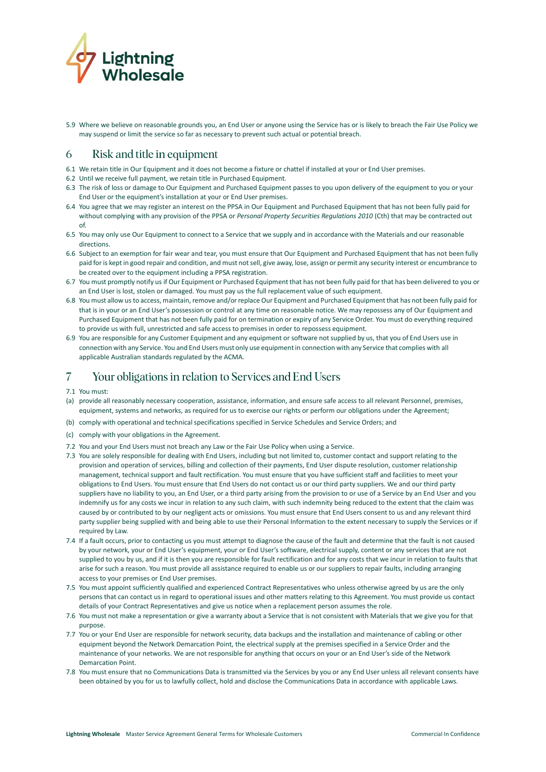

5.9 Where we believe on reasonable grounds you, an End User or anyone using the Service has or is likely to breach the Fair Use Policy we may suspend or limit the service so far as necessary to prevent such actual or potential breach.

#### 6 Risk and title in equipment

- 6.1 We retain title in Our Equipment and it does not become a fixture or chattel if installed at your or End User premises.
- 6.2 Until we receive full payment, we retain title in Purchased Equipment.
- 6.3 The risk of loss or damage to Our Equipment and Purchased Equipment passes to you upon delivery of the equipment to you or your End User or the equipment's installation at your or End User premises.
- 6.4 You agree that we may register an interest on the PPSA in Our Equipment and Purchased Equipment that has not been fully paid for without complying with any provision of the PPSA or *Personal Property Securities Regulations 2010* (Cth) that may be contracted out of.
- 6.5 You may only use Our Equipment to connect to a Service that we supply and in accordance with the Materials and our reasonable directions.
- 6.6 Subject to an exemption for fair wear and tear, you must ensure that Our Equipment and Purchased Equipment that has not been fully paid foris kept in good repair and condition, and must notsell, give away, lose, assign or permit any security interest or encumbrance to be created over to the equipment including a PPSA registration.
- 6.7 You must promptly notify us if Our Equipment or Purchased Equipment that has not been fully paid for that has been delivered to you or an End User is lost, stolen or damaged. You must pay us the full replacement value of such equipment.
- 6.8 You must allow usto access, maintain, remove and/orreplace Our Equipment and Purchased Equipment that has not been fully paid for that is in your or an End User's possession or control at any time on reasonable notice. We may repossess any of Our Equipment and Purchased Equipment that has not been fully paid for on termination or expiry of any Service Order. You must do everything required to provide us with full, unrestricted and safe access to premises in order to repossess equipment.
- 6.9 You are responsible for any Customer Equipment and any equipment or software notsupplied by us, that you of End Users use in connection with any Service. You and End Users must only use equipmentin connection with any Service that complies with all applicable Australian standards regulated by the ACMA.

#### $\overline{7}$ Your obligations in relation to Services and End Users

- 7.1 You must:
- (a) provide all reasonably necessary cooperation, assistance, information, and ensure safe access to all relevant Personnel, premises, equipment, systems and networks, as required for us to exercise our rights or perform our obligations under the Agreement;
- (b) comply with operational and technical specifications specified in Service Schedules and Service Orders; and
- (c) comply with your obligations in the Agreement.
- 7.2 You and your End Users must not breach any Law or the Fair Use Policy when using a Service.
- 7.3 You are solely responsible for dealing with End Users, including but not limited to, customer contact and support relating to the provision and operation of services, billing and collection of their payments, End User dispute resolution, customer relationship management, technical support and fault rectification. You must ensure that you have sufficient staff and facilities to meet your obligations to End Users. You must ensure that End Users do not contact us or our third party suppliers. We and our third party suppliers have no liability to you, an End User, or a third party arising from the provision to or use of a Service by an End User and you indemnify us for any costs we incur in relation to any such claim, with such indemnity being reduced to the extent that the claim was caused by or contributed to by our negligent acts or omissions. You must ensure that End Users consent to us and any relevant third party supplier being supplied with and being able to use their Personal Information to the extent necessary to supply the Services or if required by Law.
- 7.4 If a fault occurs, prior to contacting us you must attempt to diagnose the cause of the fault and determine that the fault is not caused by your network, your or End User's equipment, your or End User's software, electrical supply, content or any services that are not supplied to you by us, and if it is then you are responsible for fault rectification and for any costs that we incur in relation to faults that arise for such a reason. You must provide all assistance required to enable us or our suppliers to repair faults, including arranging access to your premises or End User premises.
- 7.5 You must appoint sufficiently qualified and experienced Contract Representatives who unless otherwise agreed by us are the only persons that can contact us in regard to operational issues and other matters relating to this Agreement. You must provide us contact details of your Contract Representatives and give us notice when a replacement person assumes the role.
- 7.6 You must not make a representation or give a warranty about a Service that is not consistent with Materials that we give you for that purpose.
- 7.7 You or your End User are responsible for network security, data backups and the installation and maintenance of cabling or other equipment beyond the Network Demarcation Point, the electrical supply at the premises specified in a Service Order and the maintenance of your networks. We are not responsible for anything that occurs on your or an End User's side of the Network Demarcation Point.
- 7.8 You must ensure that no Communications Data is transmitted via the Services by you or any End User unless all relevant consents have been obtained by you for us to lawfully collect, hold and disclose the Communications Data in accordance with applicable Laws.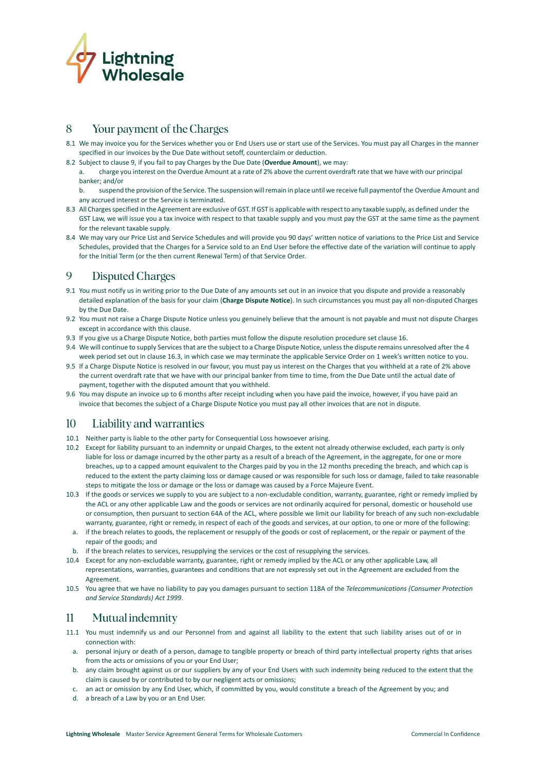

#### 8 Your payment of the Charges

- 8.1 We may invoice you for the Services whether you or End Users use or start use of the Services. You must pay all Charges in the manner specified in our invoices by the Due Date without setoff, counterclaim or deduction.
- 8.2 Subject to clause [9,](#page-5-0) if you fail to pay Charges by the Due Date (**Overdue Amount**), we may:
	- a. charge you interest on the Overdue Amount at a rate of 2% above the current overdraft rate that we have with our principal banker; and/or
	- b. suspend the provision ofthe Service. The suspension willremain in place until we receive full paymentof the Overdue Amount and any accrued interest or the Service is terminated.
- 8.3 All Charges specified in the Agreement are exclusive of GST. If GST is applicable with respect to any taxable supply, as defined under the GST Law, we will issue you a tax invoice with respect to that taxable supply and you must pay the GST at the same time as the payment for the relevant taxable supply.
- 8.4 We may vary our Price List and Service Schedules and will provide you 90 days' written notice of variations to the Price List and Service Schedules, provided that the Charges for a Service sold to an End User before the effective date of the variation will continue to apply for the Initial Term (or the then current Renewal Term) of that Service Order.

#### <span id="page-5-0"></span> $\mathbf Q$ **Disputed Charges**

- 9.1 You must notify us in writing prior to the Due Date of any amounts set out in an invoice that you dispute and provide a reasonably detailed explanation of the basis for your claim (**Charge Dispute Notice**). In such circumstances you must pay all non-disputed Charges by the Due Date.
- 9.2 You must not raise a Charge Dispute Notice unless you genuinely believe that the amount is not payable and must not dispute Charges except in accordance with this clause.
- 9.3 If you give us a Charge Dispute Notice, both parties must follow the dispute resolution procedure set claus[e 16.](#page-7-0)
- 9.4 We will continue to supply Services that are the subject to a Charge Dispute Notice, unless the dispute remains unresolved after the 4 week period set out in clause 16.3, in which case we may terminate the applicable Service Order on 1 week's written notice to you.
- 9.5 If a Charge Dispute Notice is resolved in our favour, you must pay us interest on the Charges that you withheld at a rate of 2% above the current overdraft rate that we have with our principal banker from time to time, from the Due Date until the actual date of payment, together with the disputed amount that you withheld.
- 9.6 You may dispute an invoice up to 6 months after receipt including when you have paid the invoice, however, if you have paid an invoice that becomes the subject of a Charge Dispute Notice you must pay all other invoices that are not in dispute.

#### $10<sup>°</sup>$ Liability and warranties

- 10.1 Neither party is liable to the other party for Consequential Loss howsoever arising.
- 10.2 Except for liability pursuant to an indemnity or unpaid Charges, to the extent not already otherwise excluded, each party is only liable for loss or damage incurred by the other party as a result of a breach of the Agreement, in the aggregate, for one or more breaches, up to a capped amount equivalent to the Charges paid by you in the 12 months preceding the breach, and which cap is reduced to the extent the party claiming loss or damage caused or was responsible for such loss or damage, failed to take reasonable steps to mitigate the loss or damage or the loss or damage was caused by a Force Majeure Event.
- 10.3 If the goods or services we supply to you are subject to a non-excludable condition, warranty, guarantee, right or remedy implied by the ACL or any other applicable Law and the goods or services are not ordinarily acquired for personal, domestic or household use or consumption, then pursuant to section 64A of the ACL, where possible we limit our liability for breach of any such non-excludable warranty, guarantee, right or remedy, in respect of each of the goods and services, at our option, to one or more of the following:
- a. if the breach relates to goods, the replacement or resupply of the goods or cost of replacement, or the repair or payment of the repair of the goods; and
- b. if the breach relates to services, resupplying the services or the cost of resupplying the services.
- 10.4 Except for any non-excludable warranty, guarantee, right or remedy implied by the ACL or any other applicable Law, all representations, warranties, guarantees and conditions that are not expressly set out in the Agreement are excluded from the Agreement.
- 10.5 You agree that we have no liability to pay you damages pursuant to section 118A of the *Telecommunications (Consumer Protection and Service Standards) Act 1999*.

#### $11$ Mutual indemnity

- 11.1 You must indemnify us and our Personnel from and against all liability to the extent that such liability arises out of or in connection with:
	- a. personal injury or death of a person, damage to tangible property or breach of third party intellectual property rights that arises from the acts or omissions of you or your End User;
	- b. any claim brought against us or our suppliers by any of your End Users with such indemnity being reduced to the extent that the claim is caused by or contributed to by our negligent acts or omissions;
	- c. an act or omission by any End User, which, if committed by you, would constitute a breach of the Agreement by you; and
	- d. a breach of a Law by you or an End User.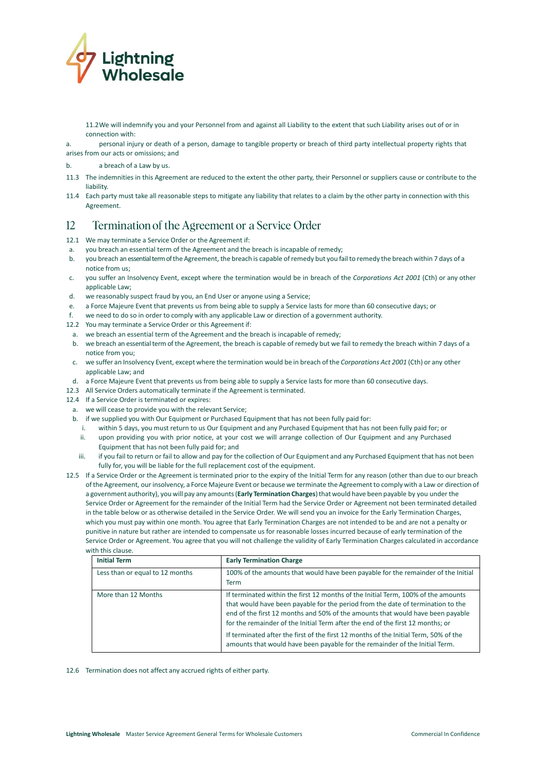

- 11.2We will indemnify you and your Personnel from and against all Liability to the extent that such Liability arises out of or in connection with:
- a. personal injury or death of a person, damage to tangible property or breach of third party intellectual property rights that
- arises from our acts or omissions; and
- b. a breach of a Law by us.
- 11.3 The indemnities in this Agreement are reduced to the extent the other party, their Personnel or suppliers cause or contribute to the liability.
- 11.4 Each party must take all reasonable steps to mitigate any liability that relates to a claim by the other party in connection with this Agreement.

#### $12$ Termination of the Agreement or a Service Order

12.1 We may terminate a Service Order or the Agreement if:

- a. you breach an essential term of the Agreement and the breach is incapable of remedy;
- b. you breach an essential term of the Agreement, the breach is capable ofremedy but you fail to remedy the breach within 7 days of a notice from us;
- c. you suffer an Insolvency Event, except where the termination would be in breach of the *Corporations Act 2001* (Cth) or any other applicable Law;
- d. we reasonably suspect fraud by you, an End User or anyone using a Service;
- e. a Force Majeure Event that prevents us from being able to supply a Service lasts for more than 60 consecutive days; or
- f. we need to do so in order to comply with any applicable Law or direction of a government authority.
- 12.2 You may terminate a Service Order or this Agreement if:
- a. we breach an essential term of the Agreement and the breach is incapable of remedy;
- b. we breach an essential term of the Agreement, the breach is capable of remedy but we fail to remedy the breach within 7 days of a notice from you;
- c. we suffer an Insolvency Event, except where the termination would be in breach of the *Corporations Act 2001* (Cth) or any other applicable Law; and
- d. a Force Majeure Event that prevents us from being able to supply a Service lasts for more than 60 consecutive days.
- 12.3 All Service Orders automatically terminate if the Agreement is terminated.
- 12.4 If a Service Order is terminated or expires:
- a. we will cease to provide you with the relevant Service;
- b. if we supplied you with Our Equipment or Purchased Equipment that has not been fully paid for:
	- i. within 5 days, you must return to us Our Equipment and any Purchased Equipment that has not been fully paid for; or ii. upon providing you with prior notice, at your cost we will arrange collection of Our Equipment and any Purchased Equipment that has not been fully paid for; and
	- iii. if you fail to return or fail to allow and pay for the collection of Our Equipment and any Purchased Equipment that has not been fully for, you will be liable for the full replacement cost of the equipment.
- 12.5 If a Service Order or the Agreement is terminated prior to the expiry of the Initial Term for any reason (other than due to our breach of the Agreement, ourinsolvency, a Force Majeure Event or because we terminate the Agreement to comply with a Law or direction of a government authority), you will pay any amounts(**Early Termination Charges**)that would have been payable by you under the Service Order or Agreement for the remainder of the Initial Term had the Service Order or Agreement not been terminated detailed in the table below or as otherwise detailed in the Service Order. We will send you an invoice for the Early Termination Charges, which you must pay within one month. You agree that Early Termination Charges are not intended to be and are not a penalty or punitive in nature but rather are intended to compensate us for reasonable losses incurred because of early termination of the Service Order or Agreement. You agree that you will not challenge the validity of Early Termination Charges calculated in accordance with this clause.

| <b>Initial Term</b>             | <b>Early Termination Charge</b>                                                                                                                                                                                                                                                                                                                                                                                                                                                                                 |
|---------------------------------|-----------------------------------------------------------------------------------------------------------------------------------------------------------------------------------------------------------------------------------------------------------------------------------------------------------------------------------------------------------------------------------------------------------------------------------------------------------------------------------------------------------------|
| Less than or equal to 12 months | 100% of the amounts that would have been payable for the remainder of the Initial<br><b>Term</b>                                                                                                                                                                                                                                                                                                                                                                                                                |
| More than 12 Months             | If terminated within the first 12 months of the Initial Term, 100% of the amounts<br>that would have been payable for the period from the date of termination to the<br>end of the first 12 months and 50% of the amounts that would have been payable<br>for the remainder of the Initial Term after the end of the first 12 months; or<br>If terminated after the first of the first 12 months of the Initial Term, 50% of the<br>amounts that would have been payable for the remainder of the Initial Term. |

12.6 Termination does not affect any accrued rights of either party.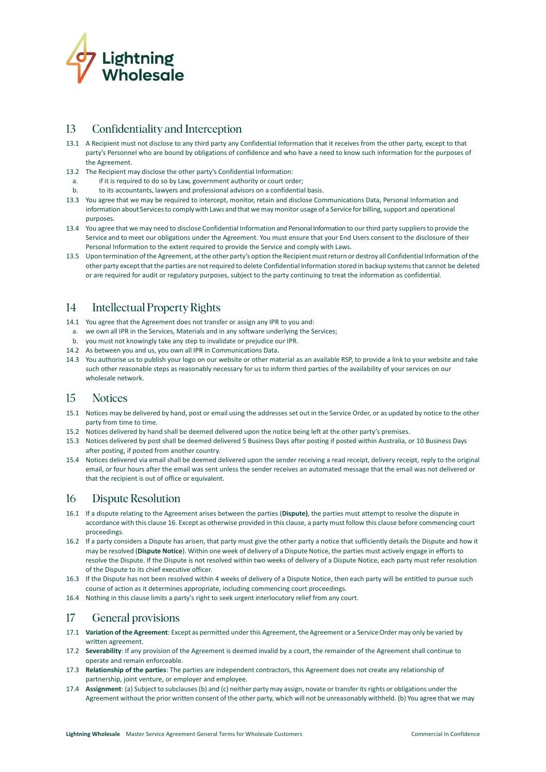

#### 13 Confidentiality and Interception

- 13.1 A Recipient must not disclose to any third party any Confidential Information that it receives from the other party, except to that party's Personnel who are bound by obligations of confidence and who have a need to know such information for the purposes of the Agreement.
- 13.2 The Recipient may disclose the other party's Confidential Information:
- a. if it is required to do so by Law, government authority or court order;
- b. to its accountants, lawyers and professional advisors on a confidential basis.
- 13.3 You agree that we may be required to intercept, monitor, retain and disclose Communications Data, Personal Information and information about Services to comply with Laws and that we may monitor usage of a Service for billing, support and operational purposes.
- 13.4 You agree that we may need to disclose Confidential Information and Personal Information to our third party suppliersto provide the Service and to meet our obligations under the Agreement. You must ensure that your End Users consent to the disclosure of their Personal Information to the extent required to provide the Service and comply with Laws.
- 13.5 Upon termination ofthe Agreement, atthe other party's option the Recipientmustreturn or destroy all Confidential Information ofthe other party exceptthatthe parties are notrequired to delete Confidential Information stored in backup systemsthat cannot be deleted or are required for audit or regulatory purposes, subject to the party continuing to treat the information as confidential.

#### **Intellectual Property Rights** 14

- 14.1 You agree that the Agreement does not transfer or assign any IPR to you and:
- a. we own all IPR in the Services, Materials and in any software underlying the Services;
- b. you must not knowingly take any step to invalidate or prejudice our IPR.
- 14.2 As between you and us, you own all IPR in Communications Data.
- 14.3 You authorise us to publish your logo on our website or other material as an available RSP, to provide a link to your website and take such other reasonable steps as reasonably necessary for us to inform third parties of the availability of your services on our wholesale network.

#### 15 **Notices**

- 15.1 Notices may be delivered by hand, post or email using the addresses set out in the Service Order, or as updated by notice to the other party from time to time.
- 15.2 Notices delivered by hand shall be deemed delivered upon the notice being left at the other party's premises.
- 15.3 Notices delivered by post shall be deemed delivered 5 Business Days after posting if posted within Australia, or 10 Business Days after posting, if posted from another country.
- 15.4 Notices delivered via email shall be deemed delivered upon the sender receiving a read receipt, delivery receipt, reply to the original email, or four hours after the email was sent unless the sender receives an automated message that the email was not delivered or that the recipient is out of office or equivalent.

#### <span id="page-7-0"></span>16 Dispute Resolution

- 16.1 If a dispute relating to the Agreement arises between the parties (**Dispute)**, the parties must attempt to resolve the dispute in accordance with this clause 16. Except as otherwise provided in this clause, a party must follow this clause before commencing court proceedings.
- 16.2 If a party considers a Dispute has arisen, that party must give the other party a notice that sufficiently details the Dispute and how it may be resolved (**Dispute Notice**). Within one week of delivery of a Dispute Notice, the parties must actively engage in efforts to resolve the Dispute. If the Dispute is not resolved within two weeks of delivery of a Dispute Notice, each party must refer resolution of the Dispute to its chief executive officer.
- 16.3 If the Dispute has not been resolved within 4 weeks of delivery of a Dispute Notice, then each party will be entitled to pursue such course of action as it determines appropriate, including commencing court proceedings.
- 16.4 Nothing in this clause limits a party's right to seek urgent interlocutory relief from any court.

#### $17$ General provisions

- 17.1 **Variation of the Agreement**: Except as permitted underthis Agreement, theAgreement or a ServiceOrder may only be varied by written agreement.
- 17.2 **Severability**: If any provision of the Agreement is deemed invalid by a court, the remainder of the Agreement shall continue to operate and remain enforceable.
- 17.3 **Relationship of the parties**: The parties are independent contractors, this Agreement does not create any relationship of partnership, joint venture, or employer and employee.
- 17.4 **Assignment**: (a) Subject to subclauses (b) and (c) neither party may assign, novate or transfer its rights or obligations under the Agreement without the prior written consent of the other party, which will not be unreasonably withheld. (b) You agree that we may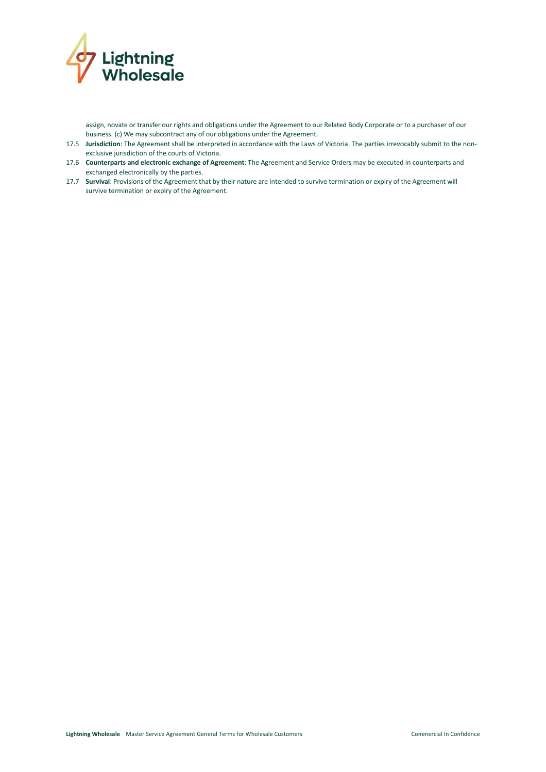

assign, novate or transfer our rights and obligations under the Agreement to our Related Body Corporate or to a purchaser of our business. (c) We may subcontract any of our obligations under the Agreement.

- 17.5 **Jurisdiction**: The Agreement shall be interpreted in accordance with the Laws of Victoria. The parties irrevocably submit to the nonexclusive jurisdiction of the courts of Victoria.
- 17.6 **Counterparts and electronic exchange of Agreement**: The Agreement and Service Orders may be executed in counterparts and exchanged electronically by the parties.
- 17.7 **Survival**: Provisions of the Agreement that by their nature are intended to survive termination or expiry of the Agreement will survive termination or expiry of the Agreement.